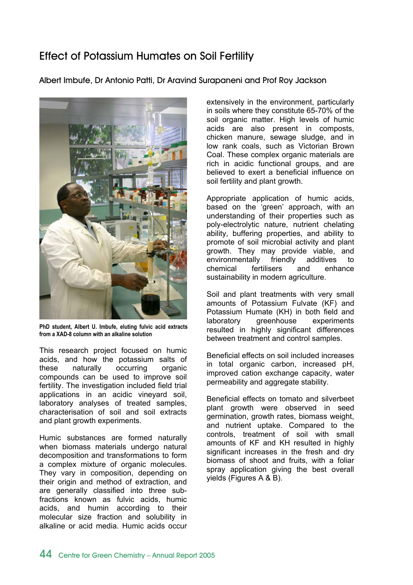## Effect of Potassium Humates on Soil Fertility

Albert Imbufe, Dr Antonio Patti, Dr Aravind Surapaneni and Prof Roy Jackson



**PhD student, Albert U. Imbufe, eluting fulvic acid extracts from a XAD-8 column with an alkaline solution** 

This research project focused on humic acids, and how the potassium salts of these naturally occurring organic compounds can be used to improve soil fertility. The investigation included field trial applications in an acidic vineyard soil, laboratory analyses of treated samples, characterisation of soil and soil extracts and plant growth experiments.

Humic substances are formed naturally when biomass materials undergo natural decomposition and transformations to form a complex mixture of organic molecules. They vary in composition, depending on their origin and method of extraction, and are generally classified into three subfractions known as fulvic acids, humic acids, and humin according to their molecular size fraction and solubility in alkaline or acid media. Humic acids occur extensively in the environment, particularly in soils where they constitute 65-70% of the soil organic matter. High levels of humic acids are also present in composts, chicken manure, sewage sludge, and in low rank coals, such as Victorian Brown Coal. These complex organic materials are rich in acidic functional groups, and are believed to exert a beneficial influence on soil fertility and plant growth.

Appropriate application of humic acids, based on the 'green' approach, with an understanding of their properties such as poly-electrolytic nature, nutrient chelating ability, buffering properties, and ability to promote of soil microbial activity and plant growth. They may provide viable, and environmentally friendly additives to chemical fertilisers and enhance sustainability in modern agriculture.

Soil and plant treatments with very small amounts of Potassium Fulvate (KF) and Potassium Humate (KH) in both field and laboratory greenhouse experiments resulted in highly significant differences between treatment and control samples.

Beneficial effects on soil included increases in total organic carbon, increased pH, improved cation exchange capacity, water permeability and aggregate stability.

Beneficial effects on tomato and silverbeet plant growth were observed in seed germination, growth rates, biomass weight, and nutrient uptake. Compared to the controls, treatment of soil with small amounts of KF and KH resulted in highly significant increases in the fresh and dry biomass of shoot and fruits, with a foliar spray application giving the best overall yields (Figures A & B).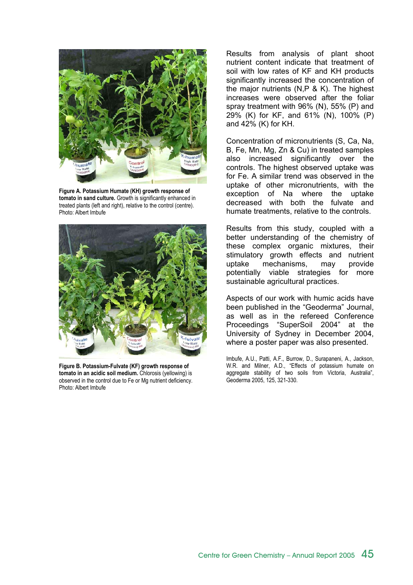

**Figure A. Potassium Humate (KH) growth response of tomato in sand culture.** Growth is significantly enhanced in treated plants (left and right), relative to the control (centre). Photo: Albert Imbufe



**Figure B. Potassium-Fulvate (KF) growth response of tomato in an acidic soil medium.** Chlorosis (yellowing) is observed in the control due to Fe or Mg nutrient deficiency. Photo: Albert Imbufe

Results from analysis of plant shoot nutrient content indicate that treatment of soil with low rates of KF and KH products significantly increased the concentration of the major nutrients (N,P & K). The highest increases were observed after the foliar spray treatment with 96% (N), 55% (P) and 29% (K) for KF, and 61% (N), 100% (P) and 42% (K) for KH.

Concentration of micronutrients (S, Ca, Na, B, Fe, Mn, Mg, Zn & Cu) in treated samples also increased significantly over the controls. The highest observed uptake was for Fe. A similar trend was observed in the uptake of other micronutrients, with the exception of Na where the uptake decreased with both the fulvate and humate treatments, relative to the controls.

Results from this study, coupled with a better understanding of the chemistry of these complex organic mixtures, their stimulatory growth effects and nutrient uptake mechanisms, may provide potentially viable strategies for more sustainable agricultural practices.

Aspects of our work with humic acids have been published in the "Geoderma" Journal, as well as in the refereed Conference Proceedings "SuperSoil 2004" at the University of Sydney in December 2004, where a poster paper was also presented.

Imbufe, A.U., Patti, A.F., Burrow, D., Surapaneni, A., Jackson, W.R. and Milner, A.D., "Effects of potassium humate on aggregate stability of two soils from Victoria, Australia", Geoderma 2005, 125, 321-330.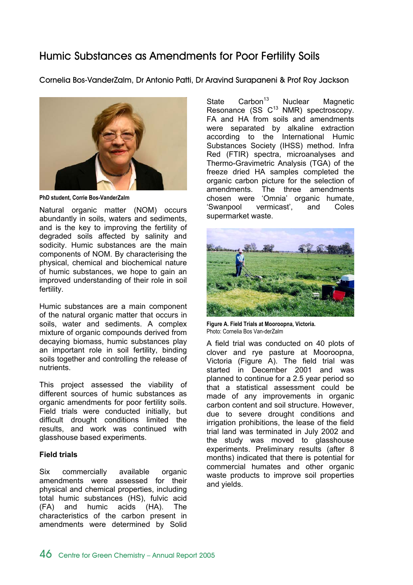## Humic Substances as Amendments for Poor Fertility Soils

Cornelia Bos-VanderZalm, Dr Antonio Patti, Dr Aravind Surapaneni & Prof Roy Jackson



**PhD student, Corrie Bos-VanderZalm** 

Natural organic matter (NOM) occurs abundantly in soils, waters and sediments, and is the key to improving the fertility of degraded soils affected by salinity and sodicity. Humic substances are the main components of NOM. By characterising the physical, chemical and biochemical nature of humic substances, we hope to gain an improved understanding of their role in soil fertility.

Humic substances are a main component of the natural organic matter that occurs in soils, water and sediments. A complex mixture of organic compounds derived from decaying biomass, humic substances play an important role in soil fertility, binding soils together and controlling the release of nutrients.

This project assessed the viability of different sources of humic substances as organic amendments for poor fertility soils. Field trials were conducted initially, but difficult drought conditions limited the results, and work was continued with glasshouse based experiments.

### **Field trials**

Six commercially available organic amendments were assessed for their physical and chemical properties, including total humic substances (HS), fulvic acid (FA) and humic acids (HA). The characteristics of the carbon present in amendments were determined by Solid

State  $\text{Carbon}^{13}$  Nuclear Magnetic Resonance (SS  $C^{13}$  NMR) spectroscopy. FA and HA from soils and amendments were separated by alkaline extraction according to the International Humic Substances Society (IHSS) method. Infra Red (FTIR) spectra, microanalyses and Thermo-Gravimetric Analysis (TGA) of the freeze dried HA samples completed the organic carbon picture for the selection of amendments. The three amendments chosen were 'Omnia' organic humate, 'Swanpool vermicast', and Coles supermarket waste.



**Figure A. Field Trials at Mooroopna, Victoria.**  Photo: Cornelia Bos Van-derZalm

A field trial was conducted on 40 plots of clover and rye pasture at Mooroopna, Victoria (Figure A). The field trial was started in December 2001 and was planned to continue for a 2.5 year period so that a statistical assessment could be made of any improvements in organic carbon content and soil structure. However, due to severe drought conditions and irrigation prohibitions, the lease of the field trial land was terminated in July 2002 and the study was moved to glasshouse experiments. Preliminary results (after 8 months) indicated that there is potential for commercial humates and other organic waste products to improve soil properties and yields.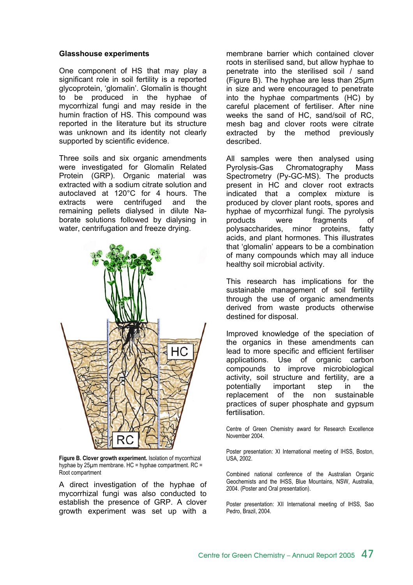#### **Glasshouse experiments**

One component of HS that may play a significant role in soil fertility is a reported glycoprotein, 'glomalin'. Glomalin is thought to be produced in the hyphae of mycorrhizal fungi and may reside in the humin fraction of HS. This compound was reported in the literature but its structure was unknown and its identity not clearly supported by scientific evidence.

Three soils and six organic amendments were investigated for Glomalin Related Protein (GRP). Organic material was extracted with a sodium citrate solution and autoclaved at 120°C for 4 hours. The extracts were centrifuged and the remaining pellets dialysed in dilute Naborate solutions followed by dialysing in water, centrifugation and freeze drying.



**Figure B. Clover growth experiment.** Isolation of mycorrhizal hyphae by 25µm membrane. HC = hyphae compartment. RC = Root compartment

A direct investigation of the hyphae of mycorrhizal fungi was also conducted to establish the presence of GRP. A clover growth experiment was set up with a

membrane barrier which contained clover roots in sterilised sand, but allow hyphae to penetrate into the sterilised soil / sand (Figure B). The hyphae are less than 25µm in size and were encouraged to penetrate into the hyphae compartments (HC) by careful placement of fertiliser. After nine weeks the sand of HC, sand/soil of RC, mesh bag and clover roots were citrate extracted by the method previously described.

All samples were then analysed using Pyrolysis-Gas Chromatography Mass Spectrometry (Py-GC-MS). The products present in HC and clover root extracts indicated that a complex mixture is produced by clover plant roots, spores and hyphae of mycorrhizal fungi. The pyrolysis products were fragments of polysaccharides, minor proteins, fatty acids, and plant hormones. This illustrates that 'glomalin' appears to be a combination of many compounds which may all induce healthy soil microbial activity.

This research has implications for the sustainable management of soil fertility through the use of organic amendments derived from waste products otherwise destined for disposal.

Improved knowledge of the speciation of the organics in these amendments can lead to more specific and efficient fertiliser applications. Use of organic carbon compounds to improve microbiological activity, soil structure and fertility, are a potentially important step in the replacement of the non sustainable practices of super phosphate and gypsum fertilisation.

Centre of Green Chemistry award for Research Excellence November 2004.

Poster presentation: XI International meeting of IHSS, Boston, USA, 2002.

Combined national conference of the Australian Organic Geochemists and the IHSS, Blue Mountains, NSW, Australia, 2004. (Poster and Oral presentation).

Poster presentation: XII International meeting of IHSS, Sao Pedro, Brazil, 2004.